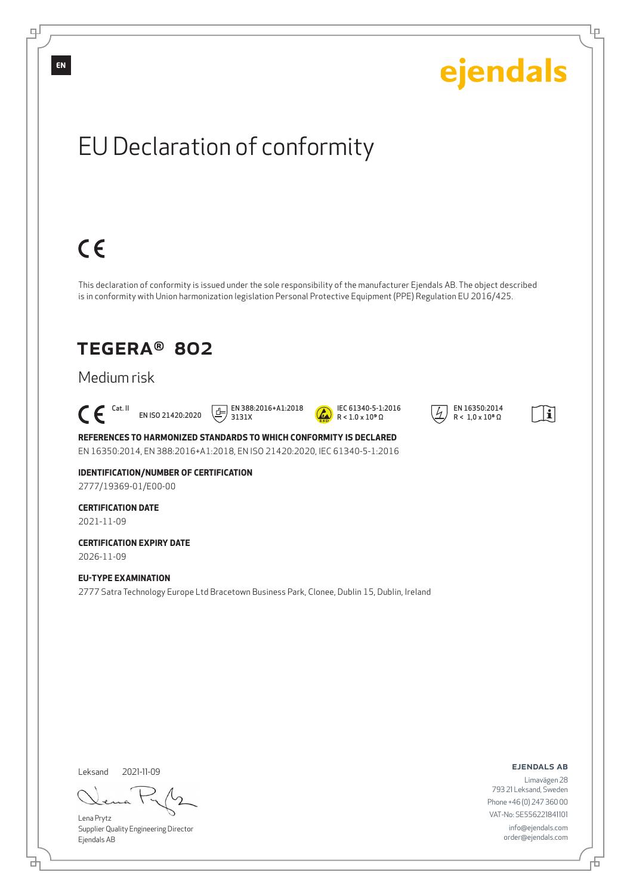

Lena Prytz Supplier Quality Engineering Director Ejendals AB

đ

舌

Phone +46 (0) 247 360 00 VAT-No: SE556221841101 info@ejendals.com order@ejendals.com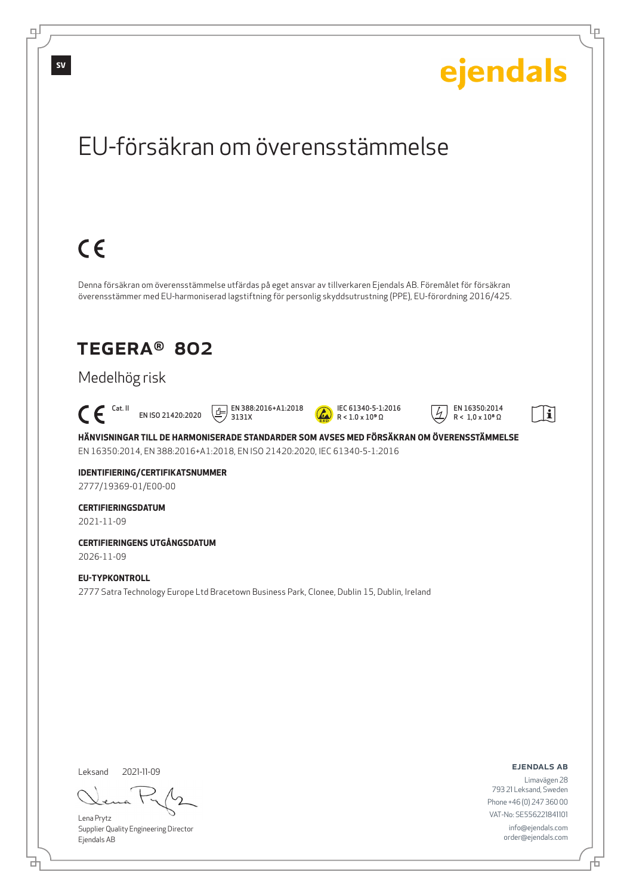

Lena Prytz Supplier Quality Engineering Director Ejendals AB

<u>다</u>

Ļμ

Limavägen 28 793 21 Leksand, Sweden Phone +46 (0) 247 360 00 VAT-No: SE556221841101 info@ejendals.com order@ejendals.com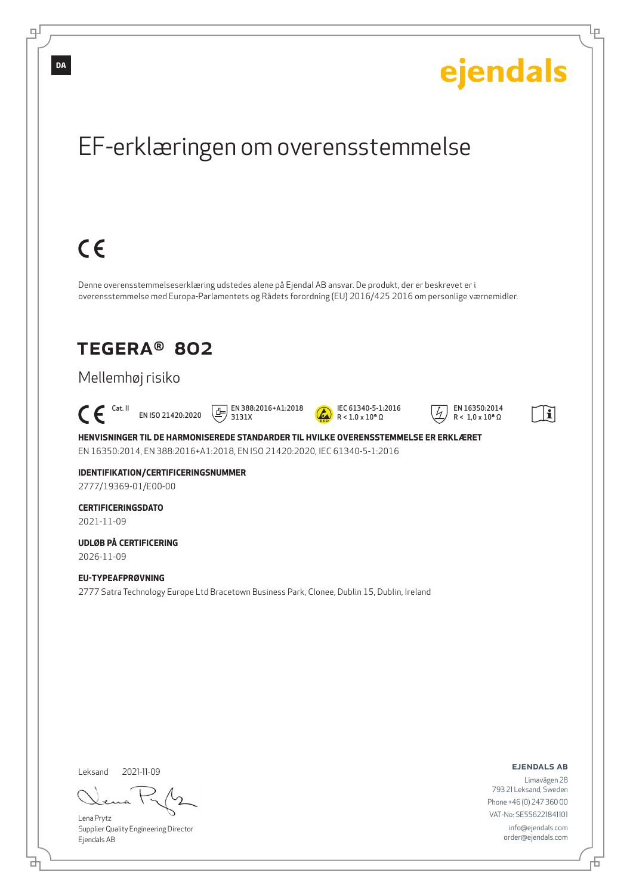

브

Đ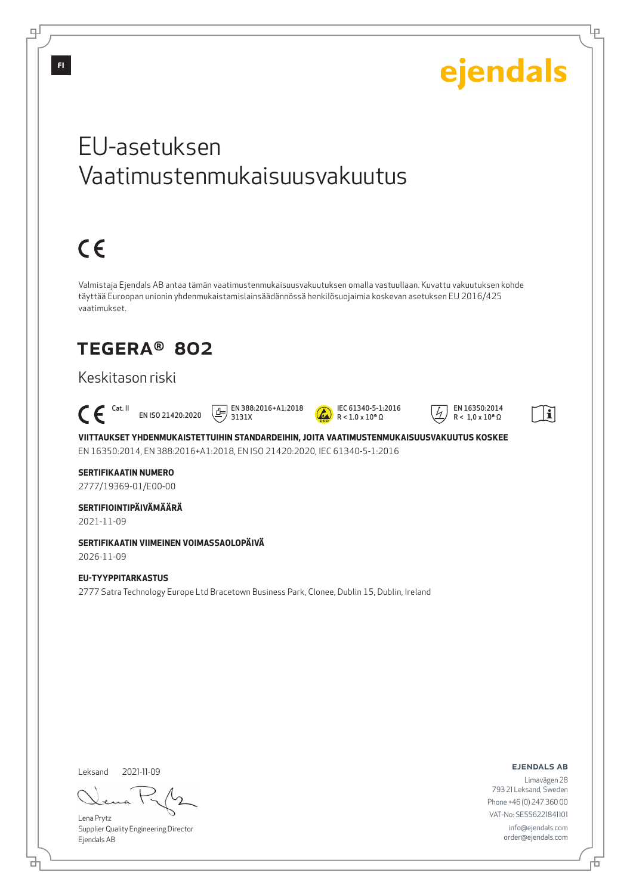

Leksand 2021-11-09

브

Lena Prytz Supplier Quality Engineering Director Ejendals AB

ejendals ab

Limavägen 28 793 21 Leksand, Sweden Phone +46 (0) 247 360 00 VAT-No: SE556221841101 info@ejendals.com order@ejendals.com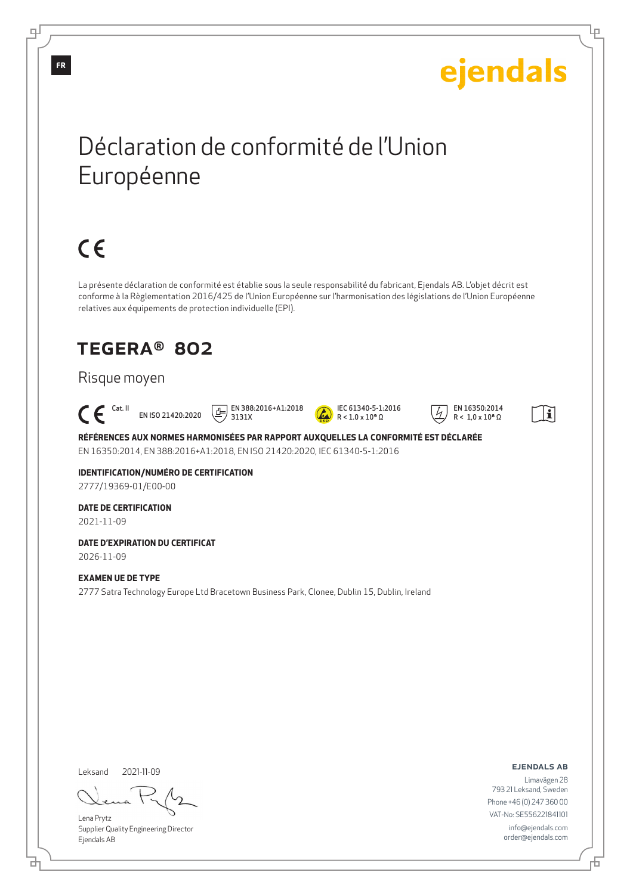# ejendals

Ļμ

## Déclaration de conformité de l'Union Européenne

# $C \in$

La présente déclaration de conformité est établie sous la seule responsabilité du fabricant, Ejendals AB. L'objet décrit est conforme à la Règlementation 2016/425 de l'Union Européenne sur l'harmonisation des législations de l'Union Européenne relatives aux équipements de protection individuelle (EPI).

### TEGERA® 802

#### Risque moyen

 $\epsilon$ EN ISO 21420:2020

 EN 388:2016+A1:2018 3131X



 EN 16350:2014  $R < 1.0 \times 10^8 \Omega$ 



**RÉFÉRENCES AUX NORMES HARMONISÉES PAR RAPPORT AUXQUELLES LA CONFORMITÉ EST DÉCLARÉE** EN 16350:2014, EN 388:2016+A1:2018, EN ISO 21420:2020, IEC 61340-5-1:2016

**IDENTIFICATION/NUMÉRO DE CERTIFICATION** 2777/19369-01/E00-00

#### **DATE DE CERTIFICATION** 2021-11-09

**DATE D'EXPIRATION DU CERTIFICAT** 2026-11-09

#### **EXAMEN UE DE TYPE**

2777 Satra Technology Europe Ltd Bracetown Business Park, Clonee, Dublin 15, Dublin, Ireland

Leksand 2021-11-09

Lena Prytz Supplier Quality Engineering Director Ejendals AB

ejendals ab

Đ

Limavägen 28 793 21 Leksand, Sweden Phone +46 (0) 247 360 00 VAT-No: SE556221841101 info@ejendals.com order@ejendals.com

டி

**FR**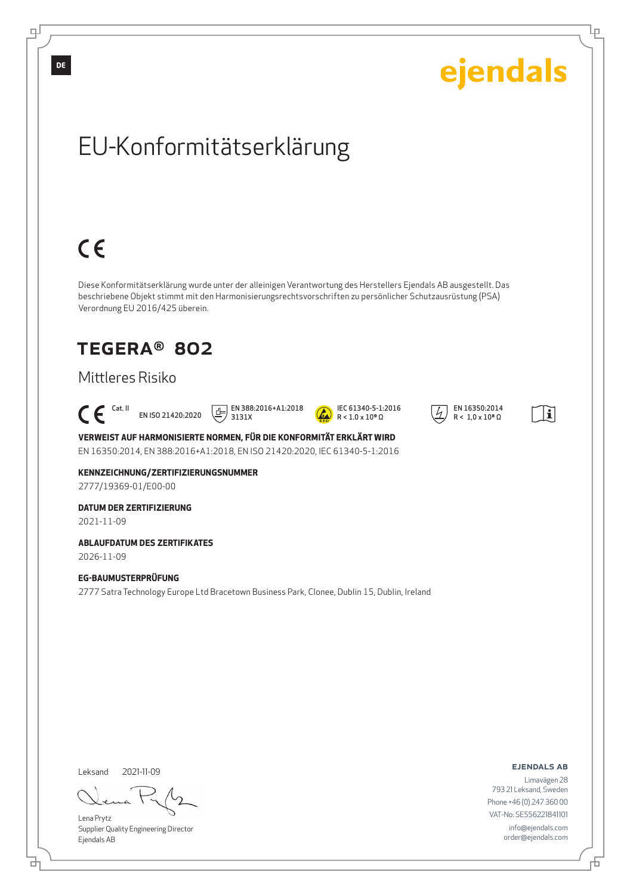

Lena Prytz Supplier Quality Engineering Director Ejendals AB

<u>다</u>

793 21 Leksand, Sweden Phone +46 (0) 247 360 00 VAT-No: SE556221841101 info@ejendals.com order@ejendals.com

舌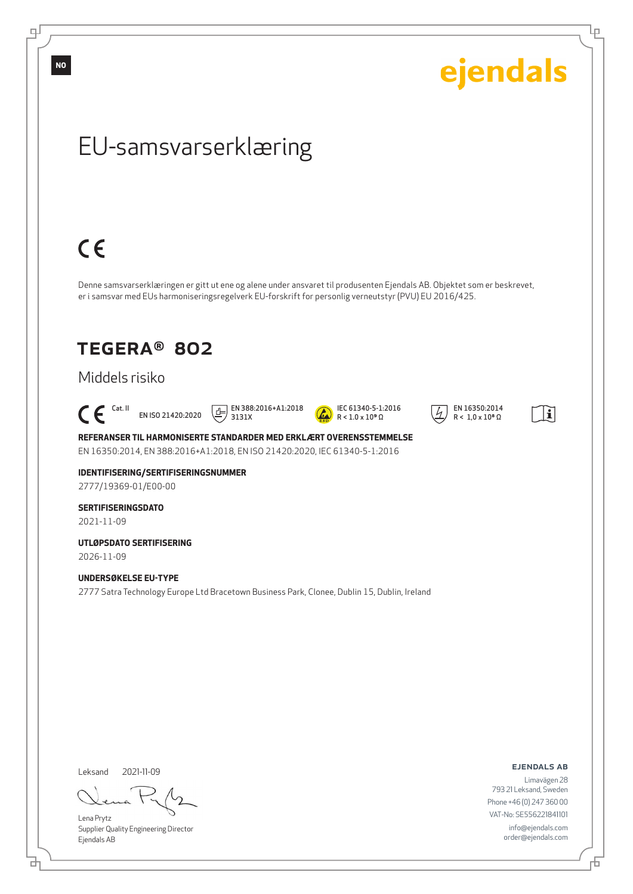ejendals

Ļμ

## EU-samsvarserklæring

## $C \in$

Denne samsvarserklæringen er gitt ut ene og alene under ansvaret til produsenten Ejendals AB. Objektet som er beskrevet, er i samsvar med EUs harmoniseringsregelverk EU-forskrift for personlig verneutstyr (PVU) EU 2016/425.

### TEGERA® 802

### Middels risiko

 $\mathsf{C}\boldsymbol{\mathsf{F}}$  Cat. II EN ISO 21420:2020

 $\boxed{1}$  EN 388:2016+A1:2018 3131X



 EN 16350:2014  $R < 1.0 \times 10^8 \Omega$ 



**REFERANSER TIL HARMONISERTE STANDARDER MED ERKLÆRT OVERENSSTEMMELSE** EN 16350:2014, EN 388:2016+A1:2018, EN ISO 21420:2020, IEC 61340-5-1:2016

**IDENTIFISERING/SERTIFISERINGSNUMMER** 2777/19369-01/E00-00

**SERTIFISERINGSDATO** 2021-11-09

**UTLØPSDATO SERTIFISERING** 2026-11-09

**UNDERSØKELSE EU-TYPE** 2777 Satra Technology Europe Ltd Bracetown Business Park, Clonee, Dublin 15, Dublin, Ireland

Leksand 2021-11-09

<u>다</u>

Lena Prytz Supplier Quality Engineering Director Ejendals AB

ejendals ab

Limavägen 28 793 21 Leksand, Sweden Phone +46 (0) 247 360 00 VAT-No: SE556221841101 info@ejendals.com order@ejendals.com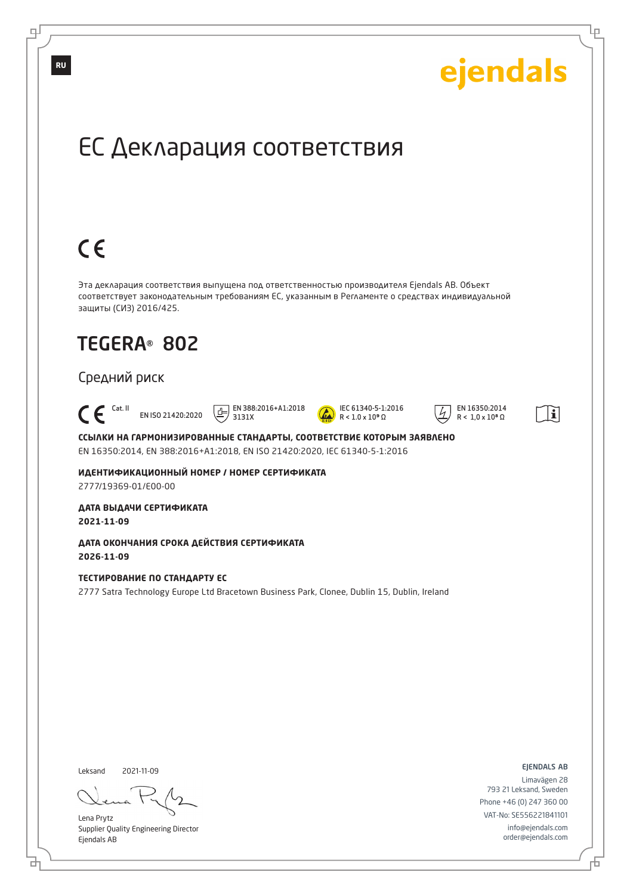

舌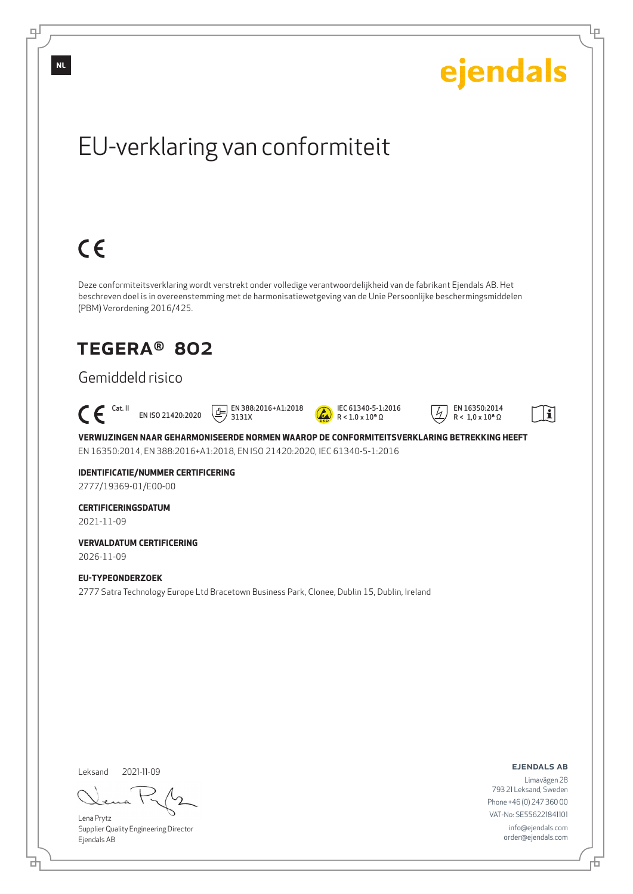

Supplier Quality Engineering Director Ejendals AB

<u>다</u>

டி

Đ

Ļμ

order@ejendals.com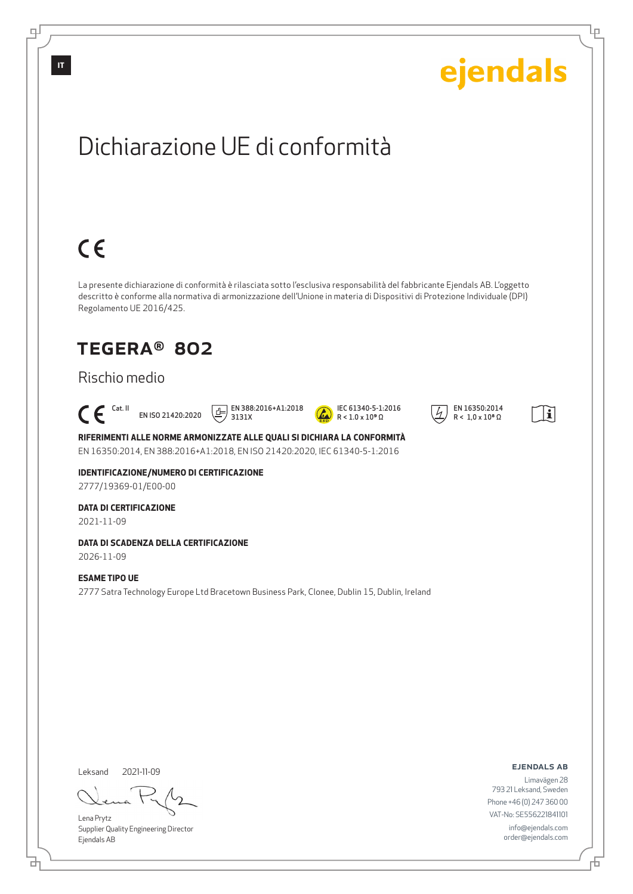

Lena Prytz Supplier Quality Engineering Director Ejendals AB

<u>다</u>

Limavägen 28 793 21 Leksand, Sweden Phone +46 (0) 247 360 00 VAT-No: SE556221841101 info@ejendals.com order@ejendals.com

舌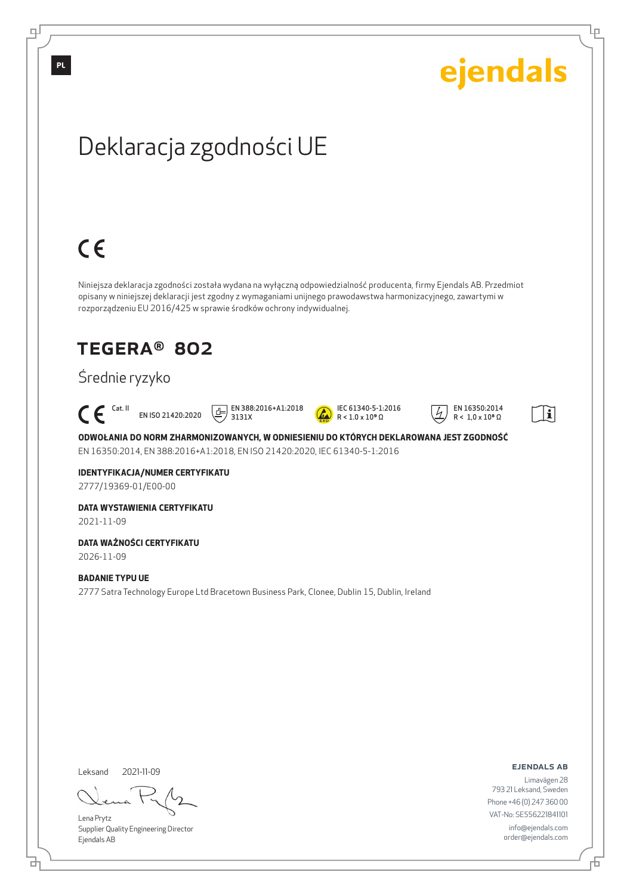

Leksand

브

டி

Lena Prytz

2021-11-09

Supplier Quality Engineering Director Ejendals AB

ejendals ab

Ļμ

Limavägen 28 793 21 Leksand, Sweden Phone +46 (0) 247 360 00 VAT-No: SE556221841101 info@ejendals.com order@ejendals.com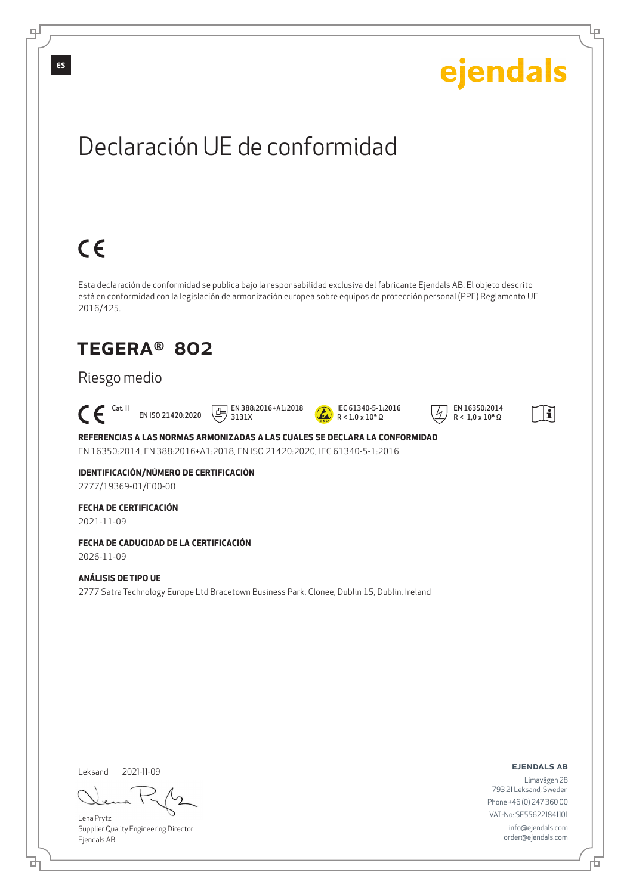

Leksand 2021-11-09

<u>다</u>

Lena Prytz Supplier Quality Engineering Director Ejendals AB

ejendals ab

Limavägen 28 793 21 Leksand, Sweden Phone +46 (0) 247 360 00 VAT-No: SE556221841101 info@ejendals.com order@ejendals.com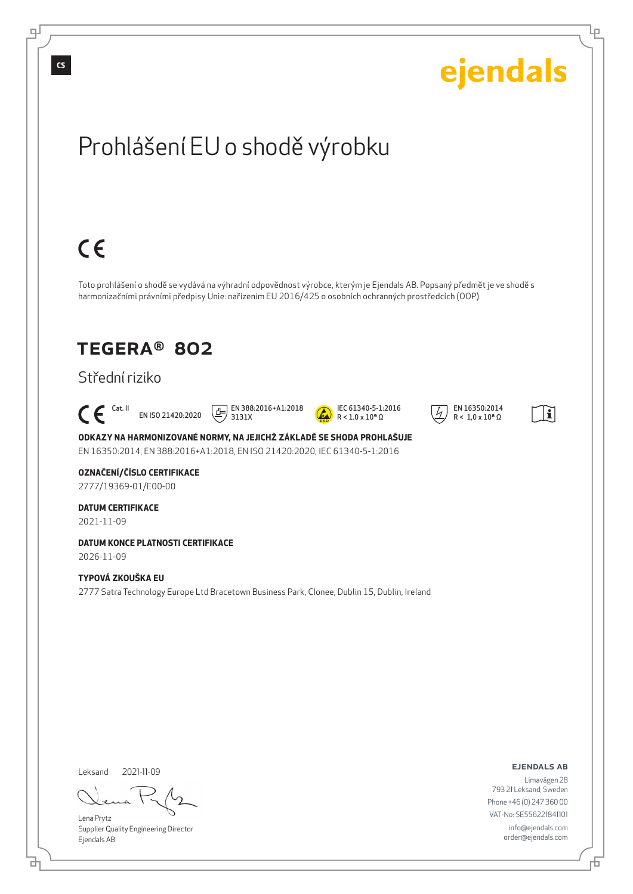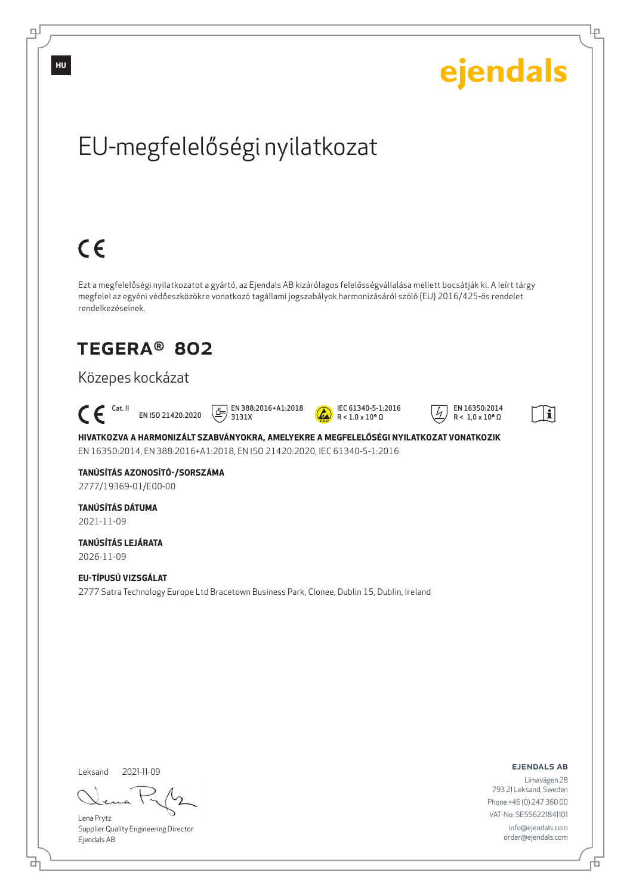

Supplier Quality Engineering Director Ejendals AB

브

டி

Ļμ

info@ejendals.com order@ejendals.com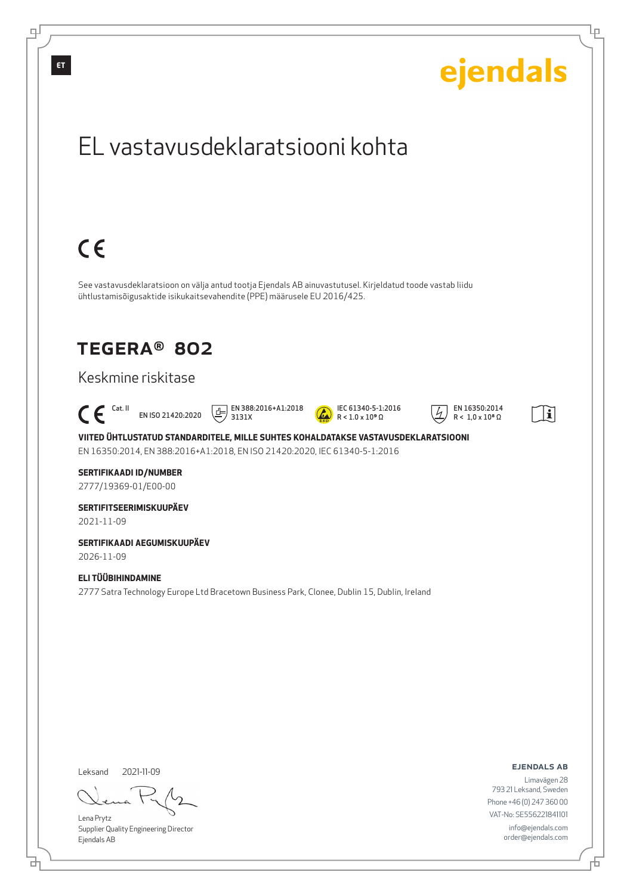

<u>다</u>

цſ

舌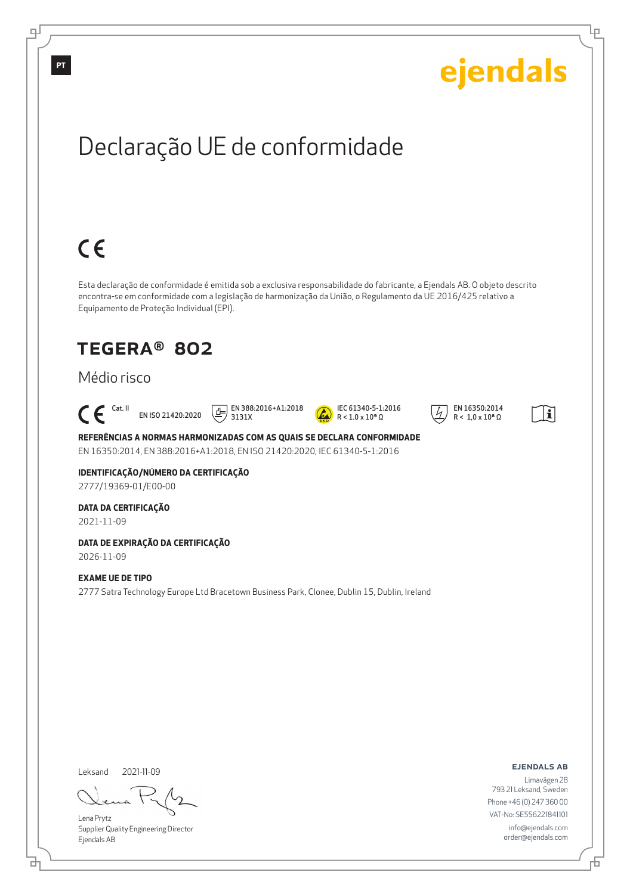

<u>다</u>

டி

 $\overline{+}$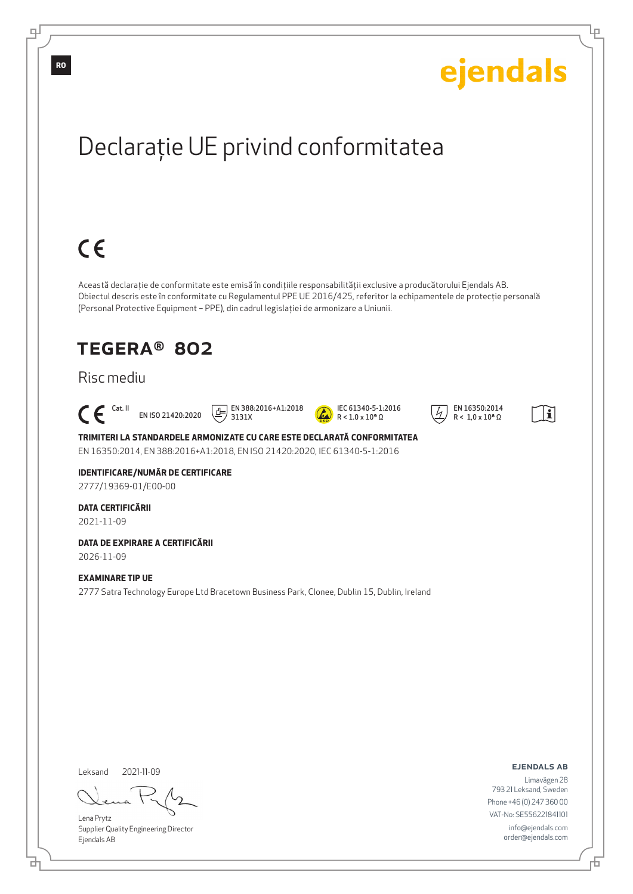

Lena Prytz

டி

Supplier Quality Engineering Director Ejendals AB

브

Phone +46 (0) 247 360 00 VAT-No: SE556221841101 info@ejendals.com order@ejendals.com

Đ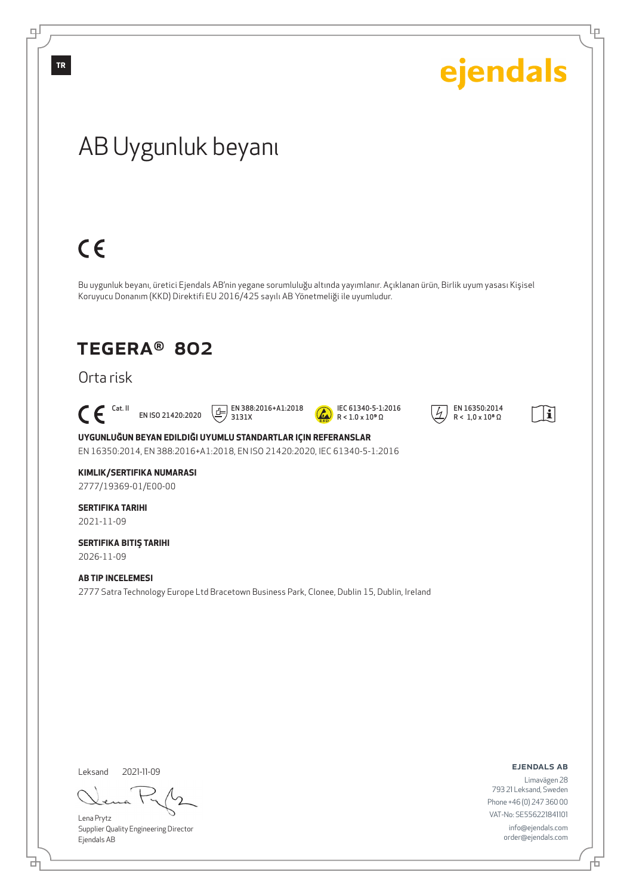

Lena Prytz Supplier Quality Engineering Director Ejendals AB

đ

793 21 Leksand, Sweden Phone +46 (0) 247 360 00 VAT-No: SE556221841101 info@ejendals.com order@ejendals.com

舌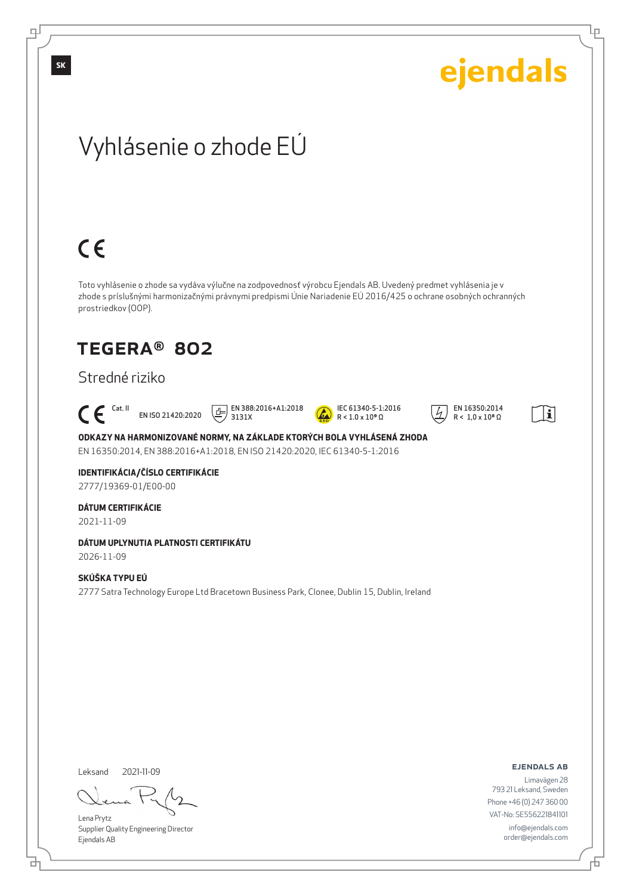

Leksand 2021-11-09

<u>다</u>

Lena Prytz Supplier Quality Engineering Director Ejendals AB

ejendals ab

Limavägen 28 793 21 Leksand, Sweden Phone +46 (0) 247 360 00 VAT-No: SE556221841101 info@ejendals.com order@ejendals.com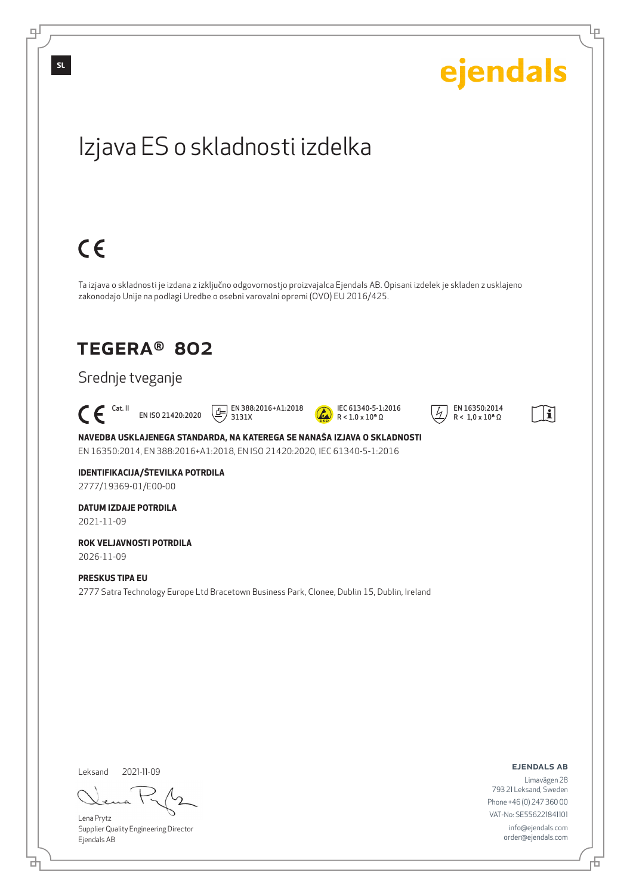

<u>다</u>

Đ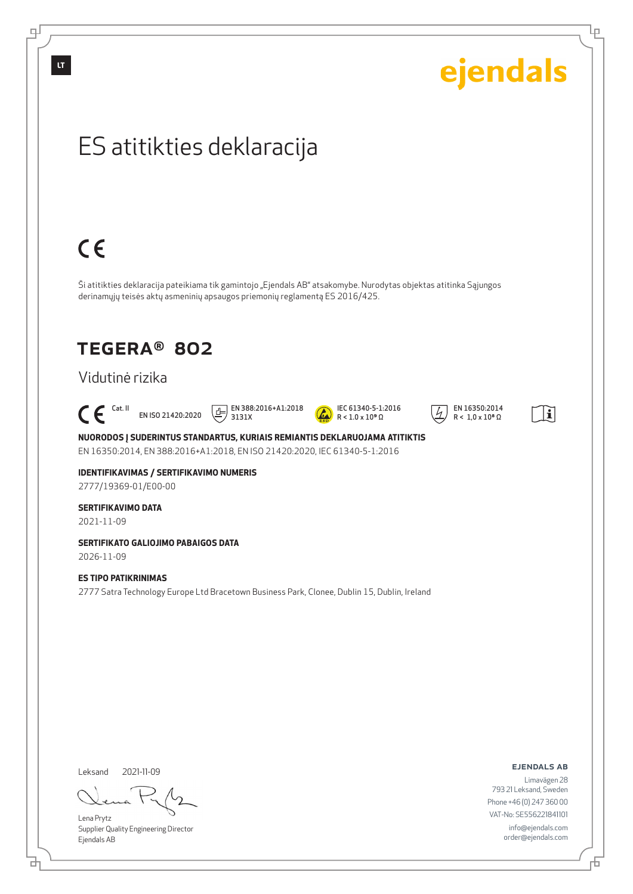$\mathbb{H}$ 

| ejendals                                                                                                                                                                                                                                                                                                                                                                  |
|---------------------------------------------------------------------------------------------------------------------------------------------------------------------------------------------------------------------------------------------------------------------------------------------------------------------------------------------------------------------------|
| ES atitikties deklaracija                                                                                                                                                                                                                                                                                                                                                 |
| $C \in$                                                                                                                                                                                                                                                                                                                                                                   |
| Ši atitikties deklaracija pateikiama tik gamintojo "Ejendals AB" atsakomybe. Nurodytas objektas atitinka Sąjungos<br>derinamųjų teisės aktų asmeninių apsaugos priemonių reglamentą ES 2016/425.                                                                                                                                                                          |
| <b>TEGERA® 802</b><br>Vidutinė rizika                                                                                                                                                                                                                                                                                                                                     |
| EN 388:2016+A1:2018<br>3131X<br>$\mathsf{C}\,\mathsf{E}$ <sup>Cat. II</sup> EN ISO 21420:2020<br>IEC 61340-5-1:2016<br>EN 16350:2014<br>녝<br>i<br>$R < 1.0 \times 10^8 \Omega$<br>$R < 1.0 \times 10^9 \Omega$<br>NUORODOS Į SUDERINTUS STANDARTUS, KURIAIS REMIANTIS DEKLARUOJAMA ATITIKTIS<br>EN 16350:2014, EN 388:2016+A1:2018, EN ISO 21420:2020, IEC 61340-5-1:2016 |
| <b>IDENTIFIKAVIMAS / SERTIFIKAVIMO NUMERIS</b><br>2777/19369-01/E00-00                                                                                                                                                                                                                                                                                                    |
| <b>SERTIFIKAVIMO DATA</b><br>2021-11-09                                                                                                                                                                                                                                                                                                                                   |
| SERTIFIKATO GALIOJIMO PABAIGOS DATA<br>2026-11-09                                                                                                                                                                                                                                                                                                                         |
| <b>ES TIPO PATIKRINIMAS</b><br>2777 Satra Technology Europe Ltd Bracetown Business Park, Clonee, Dublin 15, Dublin, Ireland                                                                                                                                                                                                                                               |

Leksand 2021-11-09

ካ

L

Lena Prytz Supplier Quality Engineering Director Ejendals AB

ejendals ab

舌

Ίe

Limavägen 28 793 21 Leksand, Sweden Phone +46 (0) 247 360 00 VAT-No: SE556221841101 info@ejendals.com order@ejendals.com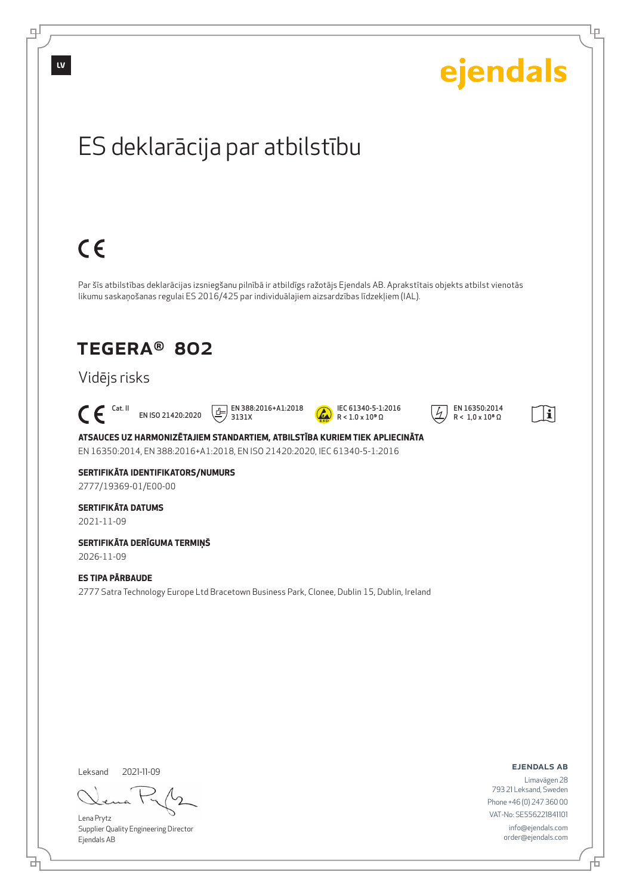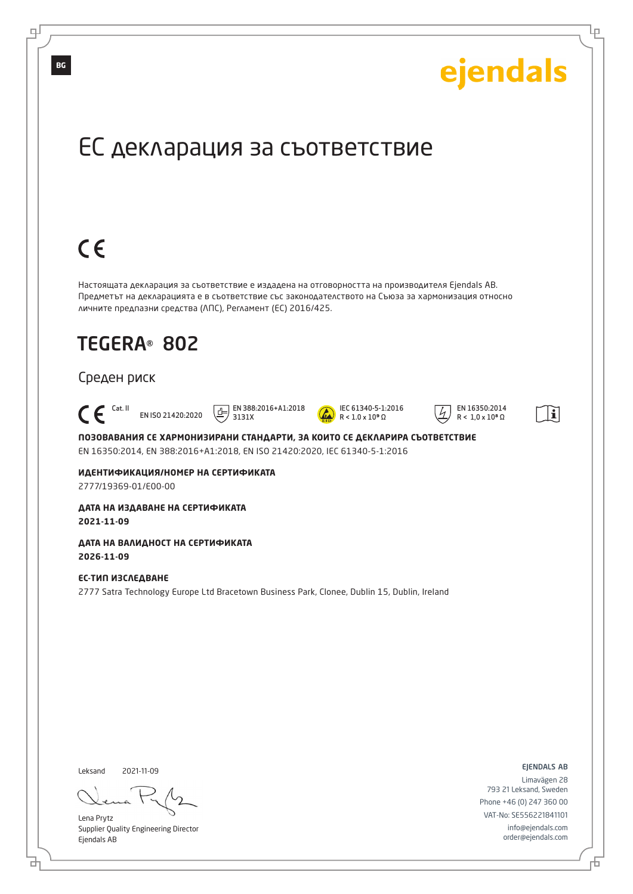

Lena Prytz Supplier Quality Engineering Director Ejendals AB

브

டி

info@ejendals.com order@ejendals.com

Đ